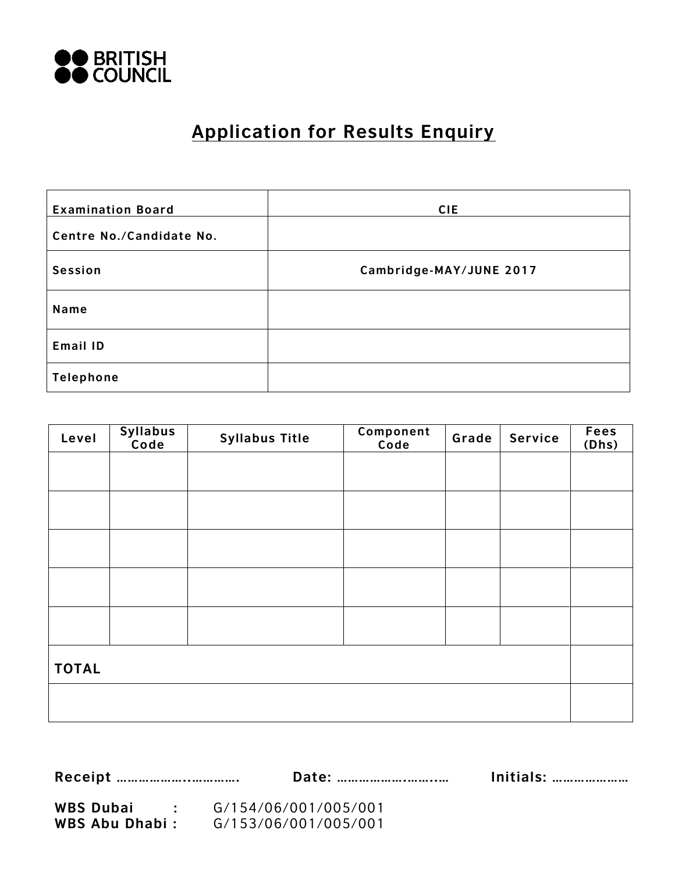

# **Application for Results Enquiry**

| <b>Examination Board</b> | <b>CIE</b>              |
|--------------------------|-------------------------|
| Centre No./Candidate No. |                         |
| Session                  | Cambridge-MAY/JUNE 2017 |
| Name                     |                         |
| Email ID                 |                         |
| Telephone                |                         |

| Level        | Syllabus<br>Code | <b>Syllabus Title</b> | Component<br>Code | Grade | Service | <b>Fees</b><br>(Dhs) |
|--------------|------------------|-----------------------|-------------------|-------|---------|----------------------|
|              |                  |                       |                   |       |         |                      |
|              |                  |                       |                   |       |         |                      |
|              |                  |                       |                   |       |         |                      |
|              |                  |                       |                   |       |         |                      |
|              |                  |                       |                   |       |         |                      |
|              |                  |                       |                   |       |         |                      |
| <b>TOTAL</b> |                  |                       |                   |       |         |                      |
|              |                  |                       |                   |       |         |                      |

**Receipt ………………..…………. Date: ……………….……..… Initials: …………………**

**WBS Dubai :** G/154/06/001/005/001 **WBS Abu Dhabi :** G/153/06/001/005/001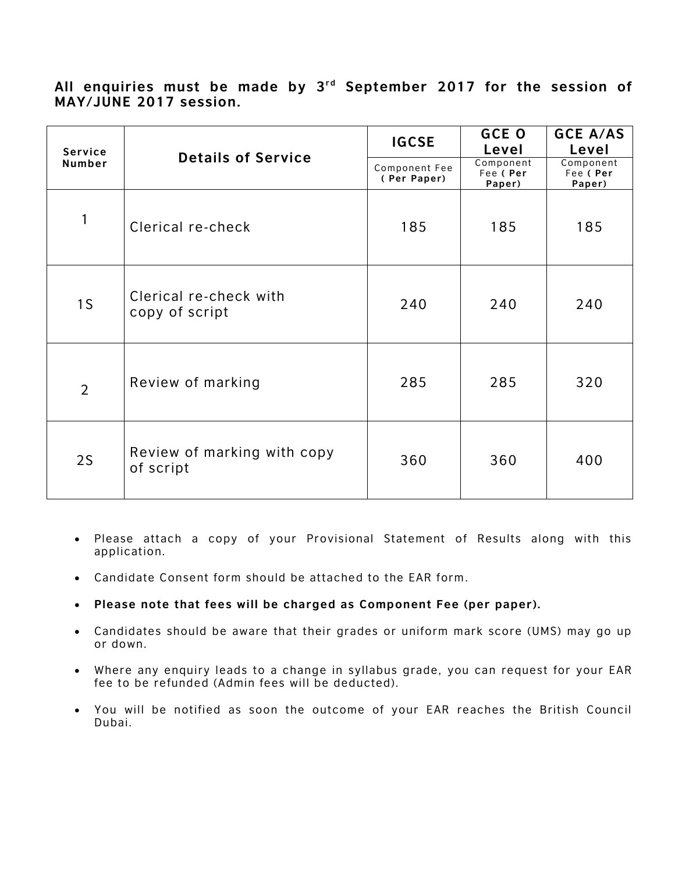### All enquiries must be made by 3<sup>rd</sup> September 2017 for the session of **MAY/JUNE 2017 session.**

| <b>Service</b> |                                          | <b>IGCSE</b>                 | <b>GCE O</b><br>Level            | <b>GCE A/AS</b><br>Level        |
|----------------|------------------------------------------|------------------------------|----------------------------------|---------------------------------|
| Number         | <b>Details of Service</b>                | Component Fee<br>(Per Paper) | Component<br>Fee ( Per<br>Paper) | Component<br>Fee (Per<br>Paper) |
| 1              | Clerical re-check                        | 185                          | 185                              | 185                             |
| 1 <sub>S</sub> | Clerical re-check with<br>copy of script | 240                          | 240                              | 240                             |
| $\overline{2}$ | Review of marking                        | 285                          | 285                              | 320                             |
| 2S             | Review of marking with copy<br>of script | 360                          | 360                              | 400                             |

- Please attach a copy of your Provisional Statement of Results along with this application.
- Candidate Consent form should be attached to the EAR form .
- **Please note that fees will be charged as Component Fee (per paper).**
- Candidates should be aware that their grades or uniform mark score (UMS) may go up or down.
- Where any enquiry leads to a change in syllabus grade, you can request for your EAR fee to be refunded (Admin fees will be deducted).
- You will be notified as soon the outcome of your EAR reaches the British Council Dubai.